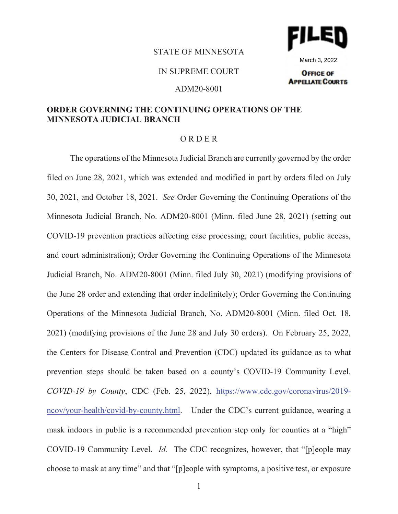## STATE OF MINNESOTA



March 3, 2022**OFFICE OF** 

**APPELIATE COURTS** 

## IN SUPREME COURT

#### ADM20-8001

# **ORDER GOVERNING THE CONTINUING OPERATIONS OF THE MINNESOTA JUDICIAL BRANCH**

### O R D E R

The operations of the Minnesota Judicial Branch are currently governed by the order filed on June 28, 2021, which was extended and modified in part by orders filed on July 30, 2021, and October 18, 2021. *See* Order Governing the Continuing Operations of the Minnesota Judicial Branch, No. ADM20-8001 (Minn. filed June 28, 2021) (setting out COVID-19 prevention practices affecting case processing, court facilities, public access, and court administration); Order Governing the Continuing Operations of the Minnesota Judicial Branch, No. ADM20-8001 (Minn. filed July 30, 2021) (modifying provisions of the June 28 order and extending that order indefinitely); Order Governing the Continuing Operations of the Minnesota Judicial Branch, No. ADM20-8001 (Minn. filed Oct. 18, 2021) (modifying provisions of the June 28 and July 30 orders). On February 25, 2022, the Centers for Disease Control and Prevention (CDC) updated its guidance as to what prevention steps should be taken based on a county's COVID-19 Community Level. *COVID-19 by County*, CDC (Feb. 25, 2022), https://www.cdc.gov/coronavirus/2019 ncov/your-health/covid-by-county.html. Under the CDC's current guidance, wearing a mask indoors in public is a recommended prevention step only for counties at a "high" COVID-19 Community Level. *Id.* The CDC recognizes, however, that "[p]eople may choose to mask at any time" and that "[p]eople with symptoms, a positive test, or exposure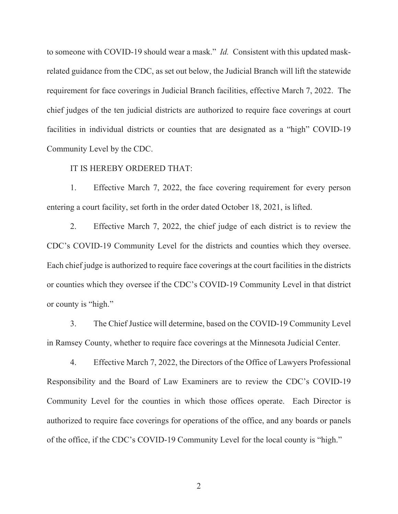to someone with COVID-19 should wear a mask." *Id.* Consistent with this updated maskrelated guidance from the CDC, as set out below, the Judicial Branch will lift the statewide requirement for face coverings in Judicial Branch facilities, effective March 7, 2022. The chief judges of the ten judicial districts are authorized to require face coverings at court facilities in individual districts or counties that are designated as a "high" COVID-19 Community Level by the CDC.

## IT IS HEREBY ORDERED THAT:

1. Effective March 7, 2022, the face covering requirement for every person entering a court facility, set forth in the order dated October 18, 2021, is lifted.

2. Effective March 7, 2022, the chief judge of each district is to review the CDC's COVID-19 Community Level for the districts and counties which they oversee. Each chief judge is authorized to require face coverings at the court facilities in the districts or counties which they oversee if the CDC's COVID-19 Community Level in that district or county is "high."

3. The Chief Justice will determine, based on the COVID-19 Community Level in Ramsey County, whether to require face coverings at the Minnesota Judicial Center.

4. Effective March 7, 2022, the Directors of the Office of Lawyers Professional Responsibility and the Board of Law Examiners are to review the CDC's COVID-19 Community Level for the counties in which those offices operate. Each Director is authorized to require face coverings for operations of the office, and any boards or panels of the office, if the CDC's COVID-19 Community Level for the local county is "high."

2